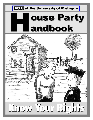### **ACLU** of the University of Michigan



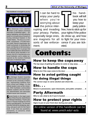**This handbook is brought to you by:**

University of Michigan<br> **http://www.umich.edu/~aclu** University of Michigan

The American Civil Liberties<br>Union is the nation's foremost he American Civil Liberties advocate of individual rights — litigating, legislating, and educating the public on a broad array of issues affecting individual freedom in the United States. The ACLU is a nonprofit, nonpartisan, 275,000-member public interest organization devoted exclusively to protecting the basic civil liberties of all Americans, and extending them to groups that have traditionally been denied them. In its almost seven decades in existence, the ACLU has become a national institution, and is widely recognized as the country's foremost advocate of individual rights.

University of Michigan



**Students' Rights Commission**

The Michigan Student Assembly<br>(MSA) is the central student govhe Michigan Student Assembly ernment at the University of Michigan, representing students from every school and college. It is the official student voice at the University. MSA facilitates communities between students and the University administration and advocates student issues and concerns.

Special thanks to the legal expertise of Nick Roumel, David Moran **P** pecial thanks to the legal exper and Michael Steinberg. Thanks also goes to Thomas Kuljurgis for all his comics and illistrations. Jim Secreto and Abe Rafi did the designing, planning, and grunt work for this handbook. If you have any questions, comments, or concerns, email aclu@umich.edu.

t can be hard to enjoy your party when you're worrying about the police inter-

your privacy. Parties, your rights if the police especially large ones, do show up, and how are magnets for all to fight for your innosorts of law enforce- cence if you are tickrupting and invading ment.

his handbook will tell you how to keep your party police-

free, how to stick up for eted.

# Contents:

#### How to keep the copsaway

**The top ways of getting the police to come or stay away . . . . . . . 3**

#### How to handle the cops

| What to do if the cops come to the door $\ldots \ldots \ldots \ldots \ldots \ldots$ |
|-------------------------------------------------------------------------------------|
|-------------------------------------------------------------------------------------|

#### How to aviod getting caught for doing illegal things

**The correct ways to serve alcohol and check IDs . . . . . . . . . . . 5**

Etc. . .

**Minors in possession, open intoxicants, and public urination . . . 6**

### Party Aftermath

**Who to call, what to do if you're busted . . . . . . . . . . . . . . . . . . . . . 6**

#### How to protect your rights

**Signs to put on your front door during your party . . . . . . . . . . . . . 7**

An online version of this handbook can be found at: *www.umich.edu/~aclu*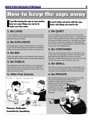## How to keep the cops away

I f you like having the cops at your parties,<br>here are some things you can do to<br>make sure they come: here are some things you can do to

#### **1. Be LOUD**

If your neighbors call the cops because you're too loud, or if the cops are driving around and hear your roaring party, then you're in trouble.

#### **2. Be EXPLOSIVE**

If the party grows beyond the bounds of your property, or your friends start blocking the sidewalk or disrupting traffic, then the cops will want to have a word with you.

#### **3. Be BIG**

Even if the party stays on your property, large groups of people hanging around outdoors attract police attention.

#### **4. Be PUBLIC**

If you advertise your party with flyers, or let everyone in who wants to come in, then your house or apartment will be considered the equivalent of a field: open to the cops and everyone else.

#### **5. Offer Free Donuts**

GIVING IT THE OL' COLLEGE TRY



Thomas Kuljurgis: Tentatively Speaking f you'd rather not party with the cops, here's the things you need to do:

#### **1. Be QUIET**

Let your neighbors know ahead of time that you'll be having a party, and ask them to call you —instead of the cops— if the party gets too loud. Then, if your neighbors do call and complain, quiet down. Generally, if you keep the music at a level where people can reasonably talk over it, then it won't be loud enough to catch the interest of any cops in the neighborhood.

#### **2. Be CONTAINED**

Keep your party inside your house, on your porch, and in your yard. The sidewalk isn't yours. That little area of grass beyond the sidewalk isn't yours. Even your driveway is problematic because it's yours, but only until it meets the street, when it becomes not yours.

#### **3. Be SMALL**

This doesn't mean you can't have a lot of people over. You can, but try to keep them indoors and on the porch. If the party isn't noticeable, then the cops will drive by.

#### **4. Be PRIVATE**

Don't publicly advertise your party with posters or fliers. Have some requirement for entering the party. For example, in order to get into the party, each

partier must know the host or at least be a friend-ofa-friend of the host. This way, the cops can't just stroll in without knocking.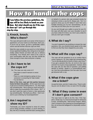# How to handle the cops

If you follow the previous guide<br>cops will be less likely to knock<br>door. But what should you do i<br>do show up? Let's go through this f you follow the previous guidelines, the cops will be less likely to knock on your door. But what should you do if the cops step-by-step.

#### **1. Knock, knock. Who's there?**

The cops will want to talk to an owner of the house or apartment, so if your name is on the lease, that's you. If you're not an owner, go find a (preferably sober) owner and tell him/her that the cops are here.

Meet the cops outside on your porch or in the hallway of your apartment building. Also, bring one or two (preferably sober) friends out there with you to witness everything. Your friends don't need to be a part of your conversation with the cop, but they should be close enough to hear what everyone is saying.

#### **2. Do I have to let the cops in?**

No. The cops can only come in if:

- **·** They have a search warrant or arrest warrant
- **·** There is a real emergency going on (e.g., someone is screaming for help inside)
- **·** You let them in

**Most of the time, cops get into parties because hosts let them into parties.** All the cops have to do is get you to consent to letting them in. So, they might say something like, "We're going to check around inside to make sure everything is OK in there. OK?" If you don't want the cops to come in, then graciously say something like, "No thank you officer. I don't consent to your entering my house/apartment."

#### **3. Am I required to show my ID?**

Technically, you aren't required to show ID unless you're being arrested, ticketed, or you're driving. In fact, the ACLU recently sued the East Lansing police

on behalf of a person who was arrested merely for refusing to show a cop his ID. Always ask, "Am I required to show you my ID? What if I don't feel comfortable showing you my ID?" Nevertheless, we advise that you do show your ID if you have it.

As you sort through your wallet or purse for your ID, the cops will often peer over your shoulder to see if you have a fake ID in there, too. Don't carry a fake ID, and you won't get in trouble.

#### **4. What do I say?**

You aren't required to say anything or answer the cops' questions. But, you should at least speak to the cops to find out why they have stopped by your party.

#### **5. What will the cops say?**

The cops will ask questions to try to confirm that a crime is going on. So, they might ask something like, "You're serving alcohol to minors in there, aren't you?" If you get a question like this, do not lie to the cops, and don't try to give a long explanation. Instead, when the cops ask you this kind of question, just politely decline to answer. Speak in a conversational manner. Don't be confrontational. Don't be rude. Don't ever get physical with a cop.

#### **6. What if the cops give me a ticket?**

Accept the ticket, and don't make a fuss. There's nothing you can do about it now, so save it for the judge.

#### **7. What if they come in even if I don't give consent?**

The cops have no right to do this. But, if this happens, simply say, in a voice loud enough for witnesses to hear, something like, "With all due respect, officer, I don't consent to your entering my house/apartment." But, do not become belligerent or physically confrontational.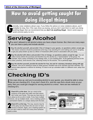## How to avoid getting caught for How to avoid getting caught for doing illegal things doing illegal things

G enerally, noise violations attract cops. If you follow the advice on noise violations above, you'll probably be okay. But, if the cops show up anyway, and you don't want them to catch you doing anything illegal, then we recommend that you **don't do anything illegal**. Here's some ways to avoid common party no-no's.

### **Serving Alcohol**

You aren't allowed to sell alcohol unless you have a liquor license. But, there are many ways<br>Y you can have a party and include alcohol. you can have a party and include alcohol.

1 **Buy the alcohol yourself, and provide it free of charge to your guests, no questions asked, except age.** This means someone should be positioned at the keg or bar checking ID's and making sure you're not going to get your party broken up due to a Minor in Possession (MIP) arrest in association with your party.

Buy the alcohol with others and provide it free of charge, no questions asked, except collect money before the purchase and therefore buy the alcohol as a "representative" of the example, have a party consisting of your bi **Buy the alcohol with others and provide it free of charge, no questions asked, except for age.** You can collect money before the purchase and therefore buy the alcohol as a "representative" of the group. For example, have a party consisting of your biology class, or your bowling team. At the gathering previous to the

Buy the a<br>However<br>the keg or bar. **Buy the alcohol yourself, provide the alcohol for free, but ask for voluntary donations along with age.** However, now you're starting to tread on shaky ground. Donation has to be voluntary and look voluntary. You cannot make payment a criterion for drinking. It's best to set up a donation table in a different room, away from

### **Checking ID's**

If the cops show up, and you're providing alcohol to your guests, you should be able to shot that you are checking ID's. If you don't check ID's, and the cops find a drunk minor at your f the cops show up, and you're providing alcohol to your guests, you should be able to show party, then you could get charged for serving alcohol to a minor. Here are two methods of checking ID's.

**Check ID's at the door.** Set up a stool at the entrance of the party and make sure that minors don't enter your house. This way you have less to worry about as far as who's inside. If you have multiple **Check ID's at the door.** Set up a stool at the entrance of the party and make sure that minors don't enter your house. This way you have less to entrances, set up multiple stools. Use a marking system - a permanent marker or a unique stamp work the best.

**2** Check ID's at the keg. This way, anyone may be at the party, but only those who are over 21 have access to alcohol. Again, use a marking system that you don't need to check ID's every time someone **Check ID's at the keg.** This way, anyone may be at the party, but only those who are over 21 have access to alcohol. Again, use a marking system so wants a drink.

| Under 21<br>Jntil 04-28-2001 |                    |
|------------------------------|--------------------|
|                              | <b>FOR LICENSE</b> |
|                              |                    |
| <b>Date of birth</b>         |                    |
| 04-28-1980                   |                    |
| Restrictions;                |                    |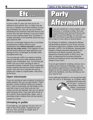#### $\bf{6}$   $\bf{6}$

If you're under 21 years old, then you're not allowed to drink alcohol. But, no matter how old you are, or whether you've been drinking, according to Michigan law, cops can ask you to take a breathalyzer test whenever they think that you are a minor who has been drinking. If you are a minor, and you blow anything higher than .02 (which is roughly equivalent to one alcoholic drink) then you get a ticket for MIP.

The ACLU of Michigan believes this is unconstitutional because it allows officers to give breathalyzer tests **without warrants** to people **who are not under arrest**. If this happens to you, get free advice about your legal options by contacting the ACLU of Michigan at (313)961-4662 (aclu@aclumich.org)

You can also get a MIP if you admit to drinking and you look like you've been drinking (slurred speech, poor coordination, etc). You can also get a MIP if you are a minor carrying an open or unopened container of alcohol. Even a seemingly empty container that only has alcohol residue in it counts. And, don't try to outsmart the cops by putting your vodka in a Sprite bottle—they know all the tricks.

#### **Open intoxicants**

If you are carrying an open container of alcohol on public property, then you can get ticketed. "Public property" means anything outside your property line. If, after a house party, you fall asleep on the yard with a beer in your hand, and your foot creeps out onto the sidewalk, then you can get an open intoxicant ticket. Cops have been known to lie in wait for these opportunities. Again, even a seemingly empty container that only has alcohol residue in it counts.

#### **Urinating in public**

If you gotta go, you gotta go, but you can't urinate in view of the public. If passers-by can see you, then you'll get in trouble even if you're on your property.

# Etc . . . Party Minors in possession<br>If you're under 21 years old, then you're not

f you are ticketed for a noise violation, open intoxicant, or urinating in public, then your record will stay clean and you'll have to pay \$100 for your first offense. For your first MIP, you'll have to pay \$50 in court fees and \$50 to take a 2-hour class on alcohol abuse.

For all types of violations, subsequent offenses will generally be placed on your record, and you will receive higher fees, probation and/or harsher penalties. (NOTE: For all offenses, standard plea bargains change frequently depending on the prosecutor and officers involved, the police department involved (AAPD or DPS), your "attitude" as determined by the police during the incident and leading to arrest, and other factors unique to your case.)

If you do get ticketed for anything, and you are a student at the University of Michigan, then contact Student Legal Services (734-763-9920.) The lawyers at SLS are experts at dealing with the stuff in this handbook, and they will help you win your case for free.

If your rights get trampled on, you can get free help from the ACLU of Michigan at (313)961-4662 (aclu@aclumich.org) or the

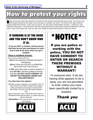# How to protect your rights

Delow are two door signs that should be removed from this booklet and posted during your party. The cutout on the left should be posted on the inside of your front door so residents can read it. The cutout on the right sho left should be posted on the inside of your front door so residents can read it. The cutout on the right should be posted outside the front door, so the cops can read it. The door signs' positive effects are that: 1. Undercover cops will tend to stay away 2. Cops will have a hard time arguing that it was an open party, and they thought they could just walk in. Note: these signs may make the cops more suspicious about what's going on inside your house.

#### IF SOMEONE IS AT THE DOOR AND YOU DON'T KNOW WHO IT IS:

**If you are NOT a resident, tell the person that they do not have permission to enter and to wait at the door while you get a resident.**

#### **Once a resident arrives:**

(try to have a witness with you):

**(1)**Ask the visitor(s) to identify themself or themselves.

**(2)**Ask if they are POLICE or WORKING WITH OR FOR THE POLICE.

If **YES**, ask if they have a search warrant. If they **DO NOT**, tell them politely but firmly that they **DO NOT HAVE CONSENT TO ENTER THE PREMISES UNDER ANY CIRCUMSTANCES**.

#### **You then have two options:**

**(1)** Offer to have a (sober/over 21) resident TALK TO THE OFFICER OUTSIDE. HANDLE the situation calmly and maybe you'll just get a warning, BUT ANYTHING YOU SAY CAN BE USED AGAINST YOU.

**(2)** You may also LOCK THE DOOR AND STOP ALL COMUNICATION with the officer, no matter what they tell you otherwise!

**Remember:** If the cops do have a warrant, do not say anything!



# \*NOTICE\*

If you are police or working with the police, YOU DO NOT HAVE CONSENT TO ENTER OR SEARCH THESE PREMISES WITHOUT A WARRANT!

*To everyone else:* If we are having what appears to be a party, you are not permitted to enter unless you have been specifically invited by a resident.

*Thank you*